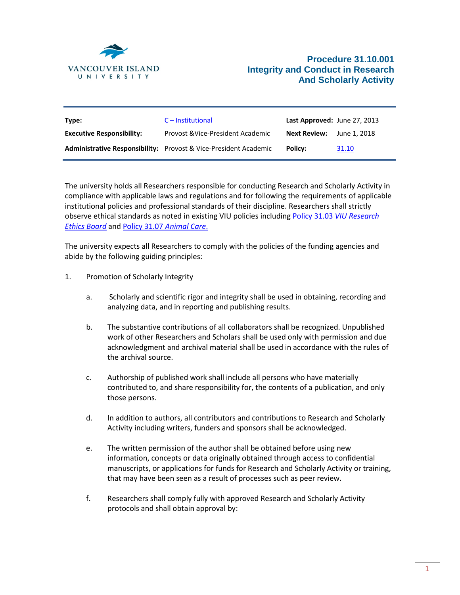

| Type:                            | $C$ – Institutional                                                     | Last Approved: June 27, 2013 |              |
|----------------------------------|-------------------------------------------------------------------------|------------------------------|--------------|
| <b>Executive Responsibility:</b> | Provost & Vice-President Academic                                       | <b>Next Review:</b>          | June 1. 2018 |
|                                  | <b>Administrative Responsibility:</b> Provost & Vice-President Academic | Policy:                      | 31.10        |

The university holds all Researchers responsible for conducting Research and Scholarly Activity in compliance with applicable laws and regulations and for following the requirements of applicable institutional policies and professional standards of their discipline. Researchers shall strictly observe ethical standards as noted in existing VIU policies including Policy 31.03 *[VIU Research](https://isweb.viu.ca/policy_procedure/docshow.asp?doc_id=21090)  [Ethics Board](https://isweb.viu.ca/policy_procedure/docshow.asp?doc_id=21090)* an[d Policy 31.07](https://isweb.viu.ca/policy_procedure/docshow.asp?doc_id=22735) *Animal Care*.

The university expects all Researchers to comply with the policies of the funding agencies and abide by the following guiding principles:

- 1. Promotion of Scholarly Integrity
	- a. Scholarly and scientific rigor and integrity shall be used in obtaining, recording and analyzing data, and in reporting and publishing results.
	- b. The substantive contributions of all collaborators shall be recognized. Unpublished work of other Researchers and Scholars shall be used only with permission and due acknowledgment and archival material shall be used in accordance with the rules of the archival source.
	- c. Authorship of published work shall include all persons who have materially contributed to, and share responsibility for, the contents of a publication, and only those persons.
	- d. In addition to authors, all contributors and contributions to Research and Scholarly Activity including writers, funders and sponsors shall be acknowledged.
	- e. The written permission of the author shall be obtained before using new information, concepts or data originally obtained through access to confidential manuscripts, or applications for funds for Research and Scholarly Activity or training, that may have been seen as a result of processes such as peer review.
	- f. Researchers shall comply fully with approved Research and Scholarly Activity protocols and shall obtain approval by: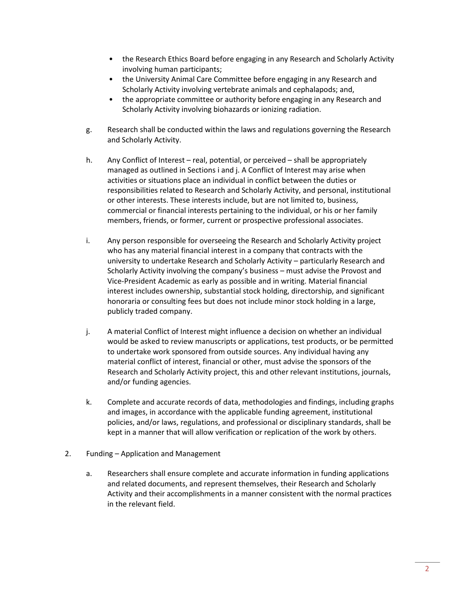- the Research Ethics Board before engaging in any Research and Scholarly Activity involving human participants;
- the University Animal Care Committee before engaging in any Research and Scholarly Activity involving vertebrate animals and cephalapods; and,
- the appropriate committee or authority before engaging in any Research and Scholarly Activity involving biohazards or ionizing radiation.
- g. Research shall be conducted within the laws and regulations governing the Research and Scholarly Activity.
- h. Any Conflict of Interest real, potential, or perceived shall be appropriately managed as outlined in Sections i and j. A Conflict of Interest may arise when activities or situations place an individual in conflict between the duties or responsibilities related to Research and Scholarly Activity, and personal, institutional or other interests. These interests include, but are not limited to, business, commercial or financial interests pertaining to the individual, or his or her family members, friends, or former, current or prospective professional associates.
- i. Any person responsible for overseeing the Research and Scholarly Activity project who has any material financial interest in a company that contracts with the university to undertake Research and Scholarly Activity – particularly Research and Scholarly Activity involving the company's business – must advise the Provost and Vice-President Academic as early as possible and in writing. Material financial interest includes ownership, substantial stock holding, directorship, and significant honoraria or consulting fees but does not include minor stock holding in a large, publicly traded company.
- j. A material Conflict of Interest might influence a decision on whether an individual would be asked to review manuscripts or applications, test products, or be permitted to undertake work sponsored from outside sources. Any individual having any material conflict of interest, financial or other, must advise the sponsors of the Research and Scholarly Activity project, this and other relevant institutions, journals, and/or funding agencies.
- k. Complete and accurate records of data, methodologies and findings, including graphs and images, in accordance with the applicable funding agreement, institutional policies, and/or laws, regulations, and professional or disciplinary standards, shall be kept in a manner that will allow verification or replication of the work by others.
- 2. Funding Application and Management
	- a. Researchers shall ensure complete and accurate information in funding applications and related documents, and represent themselves, their Research and Scholarly Activity and their accomplishments in a manner consistent with the normal practices in the relevant field.